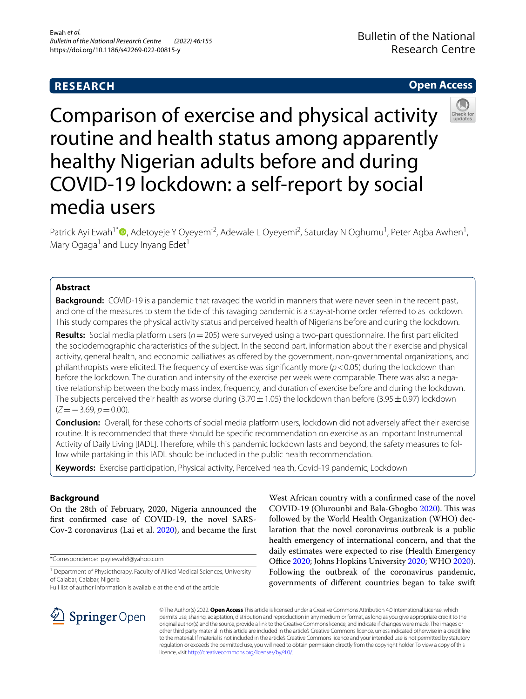# **RESEARCH**

## **Open Access**



Comparison of exercise and physical activity routine and health status among apparently healthy Nigerian adults before and during COVID-19 lockdown: a self-report by social media users

Patrick Ayi Ewah<sup>1\*</sup>®[,](http://orcid.org/0000-0002-6981-1288) Adetoyeje Y Oyeyemi<sup>2</sup>, Adewale L Oyeyemi<sup>2</sup>, Saturday N Oghumu<sup>1</sup>, Peter Agba Awhen<sup>1</sup>, Mary Ogaga<sup>1</sup> and Lucy Inyang Edet<sup>1</sup>

## **Abstract**

**Background:** COVID-19 is a pandemic that ravaged the world in manners that were never seen in the recent past, and one of the measures to stem the tide of this ravaging pandemic is a stay-at-home order referred to as lockdown. This study compares the physical activity status and perceived health of Nigerians before and during the lockdown.

**Results:** Social media platform users (*n*=205) were surveyed using a two-part questionnaire. The frst part elicited the sociodemographic characteristics of the subject. In the second part, information about their exercise and physical activity, general health, and economic palliatives as offered by the government, non-governmental organizations, and philanthropists were elicited. The frequency of exercise was signifcantly more (*p*<0.05) during the lockdown than before the lockdown. The duration and intensity of the exercise per week were comparable. There was also a negative relationship between the body mass index, frequency, and duration of exercise before and during the lockdown. The subjects perceived their health as worse during (3.70 $\pm$ 1.05) the lockdown than before (3.95 $\pm$ 0.97) lockdown (*Z*=−3.69, *p*=0.00).

**Conclusion:** Overall, for these cohorts of social media platform users, lockdown did not adversely afect their exercise routine. It is recommended that there should be specifc recommendation on exercise as an important Instrumental Activity of Daily Living [IADL]. Therefore, while this pandemic lockdown lasts and beyond, the safety measures to follow while partaking in this IADL should be included in the public health recommendation.

**Keywords:** Exercise participation, Physical activity, Perceived health, Covid-19 pandemic, Lockdown

## **Background**

On the 28th of February, 2020, Nigeria announced the frst confrmed case of COVID-19, the novel SARS-Cov-2 coronavirus (Lai et al. [2020](#page-7-0)), and became the frst

\*Correspondence: payiewah8@yahoo.com

Full list of author information is available at the end of the article





© The Author(s) 2022. **Open Access** This article is licensed under a Creative Commons Attribution 4.0 International License, which permits use, sharing, adaptation, distribution and reproduction in any medium or format, as long as you give appropriate credit to the original author(s) and the source, provide a link to the Creative Commons licence, and indicate if changes were made. The images or other third party material in this article are included in the article's Creative Commons licence, unless indicated otherwise in a credit line to the material. If material is not included in the article's Creative Commons licence and your intended use is not permitted by statutory regulation or exceeds the permitted use, you will need to obtain permission directly from the copyright holder. To view a copy of this licence, visit [http://creativecommons.org/licenses/by/4.0/.](http://creativecommons.org/licenses/by/4.0/)

<sup>&</sup>lt;sup>1</sup> Department of Physiotherapy, Faculty of Allied Medical Sciences, University of Calabar, Calabar, Nigeria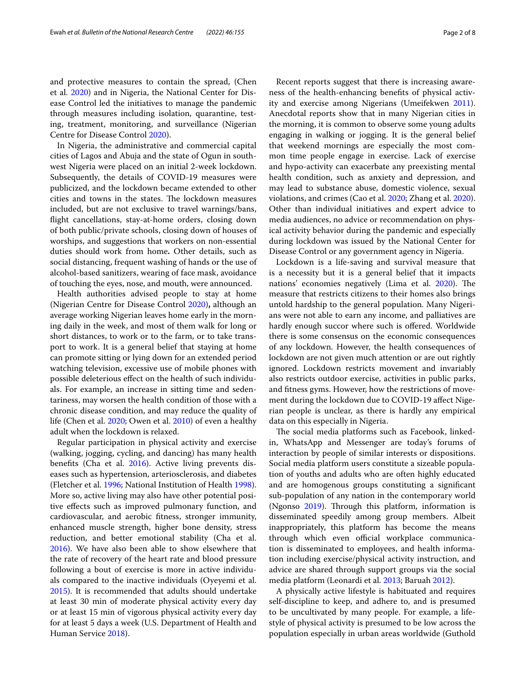and protective measures to contain the spread, (Chen et al. [2020\)](#page-6-0) and in Nigeria, the National Center for Disease Control led the initiatives to manage the pandemic through measures including isolation, quarantine, testing, treatment, monitoring, and surveillance (Nigerian Centre for Disease Control [2020](#page-7-5)).

In Nigeria, the administrative and commercial capital cities of Lagos and Abuja and the state of Ogun in southwest Nigeria were placed on an initial 2-week lockdown. Subsequently, the details of COVID-19 measures were publicized, and the lockdown became extended to other cities and towns in the states. The lockdown measures included, but are not exclusive to travel warnings/bans, fight cancellations, stay-at-home orders, closing down of both public/private schools, closing down of houses of worships, and suggestions that workers on non-essential duties should work from home**.** Other details, such as social distancing, frequent washing of hands or the use of alcohol-based sanitizers, wearing of face mask, avoidance of touching the eyes, nose, and mouth, were announced.

Health authorities advised people to stay at home (Nigerian Centre for Disease Control [2020\)](#page-7-5)**,** although an average working Nigerian leaves home early in the morning daily in the week, and most of them walk for long or short distances, to work or to the farm, or to take transport to work. It is a general belief that staying at home can promote sitting or lying down for an extended period watching television, excessive use of mobile phones with possible deleterious efect on the health of such individuals. For example, an increase in sitting time and sedentariness, may worsen the health condition of those with a chronic disease condition, and may reduce the quality of life (Chen et al. [2020](#page-6-0); Owen et al. [2010](#page-7-6)) of even a healthy adult when the lockdown is relaxed.

Regular participation in physical activity and exercise (walking, jogging, cycling, and dancing) has many health benefits (Cha et al. [2016\)](#page-6-1). Active living prevents diseases such as hypertension, arteriosclerosis, and diabetes (Fletcher et al. [1996](#page-7-7); National Institution of Health [1998](#page-7-8)). More so, active living may also have other potential positive efects such as improved pulmonary function, and cardiovascular, and aerobic ftness, stronger immunity, enhanced muscle strength, higher bone density, stress reduction, and better emotional stability (Cha et al. [2016](#page-6-1)). We have also been able to show elsewhere that the rate of recovery of the heart rate and blood pressure following a bout of exercise is more in active individuals compared to the inactive individuals (Oyeyemi et al. [2015](#page-7-9)). It is recommended that adults should undertake at least 30 min of moderate physical activity every day or at least 15 min of vigorous physical activity every day for at least 5 days a week (U.S. Department of Health and Human Service [2018\)](#page-7-10).

Recent reports suggest that there is increasing awareness of the health-enhancing benefts of physical activity and exercise among Nigerians (Umeifekwen [2011](#page-7-11)). Anecdotal reports show that in many Nigerian cities in the morning, it is common to observe some young adults engaging in walking or jogging. It is the general belief that weekend mornings are especially the most common time people engage in exercise. Lack of exercise and hypo-activity can exacerbate any preexisting mental health condition, such as anxiety and depression, and may lead to substance abuse, domestic violence, sexual violations, and crimes (Cao et al. [2020](#page-6-2); Zhang et al. [2020](#page-7-12)). Other than individual initiatives and expert advice to media audiences, no advice or recommendation on physical activity behavior during the pandemic and especially during lockdown was issued by the National Center for Disease Control or any government agency in Nigeria.

Lockdown is a life-saving and survival measure that is a necessity but it is a general belief that it impacts nations' economies negatively (Lima et al. [2020\)](#page-7-13). The measure that restricts citizens to their homes also brings untold hardship to the general population. Many Nigerians were not able to earn any income, and palliatives are hardly enough succor where such is ofered. Worldwide there is some consensus on the economic consequences of any lockdown. However, the health consequences of lockdown are not given much attention or are out rightly ignored. Lockdown restricts movement and invariably also restricts outdoor exercise, activities in public parks, and ftness gyms. However, how the restrictions of movement during the lockdown due to COVID-19 affect Nigerian people is unclear, as there is hardly any empirical data on this especially in Nigeria.

The social media platforms such as Facebook, linkedin, WhatsApp and Messenger are today's forums of interaction by people of similar interests or dispositions. Social media platform users constitute a sizeable population of youths and adults who are often highly educated and are homogenous groups constituting a signifcant sub-population of any nation in the contemporary world (Ngonso  $2019$ ). Through this platform, information is disseminated speedily among group members. Albeit inappropriately, this platform has become the means through which even official workplace communication is disseminated to employees, and health information including exercise/physical activity instruction, and advice are shared through support groups via the social media platform (Leonardi et al. [2013;](#page-7-15) Baruah [2012\)](#page-6-3).

A physically active lifestyle is habituated and requires self-discipline to keep, and adhere to, and is presumed to be uncultivated by many people. For example, a lifestyle of physical activity is presumed to be low across the population especially in urban areas worldwide (Guthold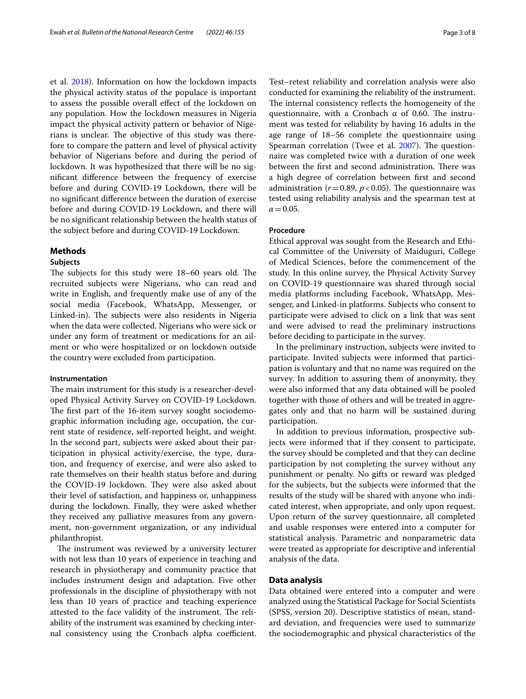et al. [2018\)](#page-7-16). Information on how the lockdown impacts the physical activity status of the populace is important to assess the possible overall efect of the lockdown on any population. How the lockdown measures in Nigeria impact the physical activity pattern or behavior of Nigerians is unclear. The objective of this study was therefore to compare the pattern and level of physical activity behavior of Nigerians before and during the period of lockdown. It was hypothesized that there will be no signifcant diference between the frequency of exercise before and during COVID-19 Lockdown, there will be no signifcant diference between the duration of exercise before and during COVID-19 Lockdown, and there will be no signifcant relationship between the health status of the subject before and during COVID-19 Lockdown.

### **Methods**

#### **Subjects**

The subjects for this study were  $18-60$  years old. The recruited subjects were Nigerians, who can read and write in English, and frequently make use of any of the social media (Facebook, WhatsApp, Messenger, or Linked-in). The subjects were also residents in Nigeria when the data were collected. Nigerians who were sick or under any form of treatment or medications for an ailment or who were hospitalized or on lockdown outside the country were excluded from participation.

### **Instrumentation**

The main instrument for this study is a researcher-developed Physical Activity Survey on COVID-19 Lockdown. The first part of the 16-item survey sought sociodemographic information including age, occupation, the current state of residence, self-reported height, and weight. In the second part, subjects were asked about their participation in physical activity/exercise, the type, duration, and frequency of exercise, and were also asked to rate themselves on their health status before and during the COVID-19 lockdown. They were also asked about their level of satisfaction, and happiness or, unhappiness during the lockdown. Finally, they were asked whether they received any palliative measures from any government, non-government organization, or any individual philanthropist.

The instrument was reviewed by a university lecturer with not less than 10 years of experience in teaching and research in physiotherapy and community practice that includes instrument design and adaptation. Five other professionals in the discipline of physiotherapy with not less than 10 years of practice and teaching experience attested to the face validity of the instrument. The reliability of the instrument was examined by checking internal consistency using the Cronbach alpha coefficient. Test–retest reliability and correlation analysis were also conducted for examining the reliability of the instrument. The internal consistency reflects the homogeneity of the questionnaire, with a Cronbach  $\alpha$  of 0.60. The instrument was tested for reliability by having 16 adults in the age range of 18–56 complete the questionnaire using Spearman correlation (Twee et al. [2007](#page-7-17)). The questionnaire was completed twice with a duration of one week between the first and second administration. There was a high degree of correlation between frst and second administration ( $r = 0.89$ ,  $p < 0.05$ ). The questionnaire was tested using reliability analysis and the spearman test at

## **Procedure**

 $\alpha = 0.05$ .

Ethical approval was sought from the Research and Ethical Committee of the University of Maiduguri, College of Medical Sciences, before the commencement of the study. In this online survey, the Physical Activity Survey on COVID-19 questionnaire was shared through social media platforms including Facebook, WhatsApp, Messenger, and Linked-in platforms. Subjects who consent to participate were advised to click on a link that was sent and were advised to read the preliminary instructions before deciding to participate in the survey.

In the preliminary instruction, subjects were invited to participate. Invited subjects were informed that participation is voluntary and that no name was required on the survey. In addition to assuring them of anonymity, they were also informed that any data obtained will be pooled together with those of others and will be treated in aggregates only and that no harm will be sustained during participation.

In addition to previous information, prospective subjects were informed that if they consent to participate, the survey should be completed and that they can decline participation by not completing the survey without any punishment or penalty. No gifts or reward was pledged for the subjects, but the subjects were informed that the results of the study will be shared with anyone who indicated interest, when appropriate, and only upon request. Upon return of the survey questionnaire, all completed and usable responses were entered into a computer for statistical analysis. Parametric and nonparametric data were treated as appropriate for descriptive and inferential analysis of the data.

### **Data analysis**

Data obtained were entered into a computer and were analyzed using the Statistical Package for Social Scientists (SPSS, version 20). Descriptive statistics of mean, standard deviation, and frequencies were used to summarize the sociodemographic and physical characteristics of the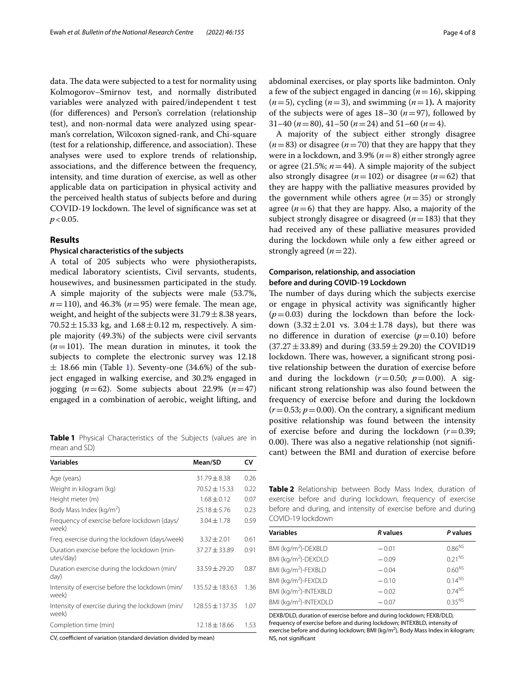data. The data were subjected to a test for normality using Kolmogorov–Smirnov test, and normally distributed variables were analyzed with paired/independent t test (for diferences) and Person's correlation (relationship test), and non-normal data were analyzed using spearman's correlation, Wilcoxon signed-rank, and Chi-square (test for a relationship, difference, and association). These analyses were used to explore trends of relationship, associations, and the diference between the frequency, intensity, and time duration of exercise, as well as other applicable data on participation in physical activity and the perceived health status of subjects before and during COVID-19 lockdown. The level of significance was set at  $p < 0.05$ .

## **Results**

### **Physical characteristics of the subjects**

A total of 205 subjects who were physiotherapists, medical laboratory scientists, Civil servants, students, housewives, and businessmen participated in the study. A simple majority of the subjects were male (53.7%,  $n = 110$ ), and 46.3% ( $n = 95$ ) were female. The mean age, weight, and height of the subjects were  $31.79 \pm 8.38$  years, 70.52  $\pm$  15.33 kg, and 1.68  $\pm$  0.12 m, respectively. A simple majority (49.3%) of the subjects were civil servants  $(n=101)$ . The mean duration in minutes, it took the subjects to complete the electronic survey was 12.18  $\pm$  [1](#page-3-0)8.66 min (Table 1). Seventy-one (34.6%) of the subject engaged in walking exercise, and 30.2% engaged in jogging  $(n=62)$ . Some subjects about 22.9%  $(n=47)$ engaged in a combination of aerobic, weight lifting, and

<span id="page-3-0"></span>**Table 1** Physical Characteristics of the Subjects (values are in mean and SD)

| <b>Variables</b>                                         | Mean/SD             | CV   |
|----------------------------------------------------------|---------------------|------|
| Age (years)                                              | $31.79 \pm 8.38$    | 0.26 |
| Weight in kilogram (kg)                                  | $70.52 \pm 15.33$   | 0.22 |
| Height meter (m)                                         | $1.68 + 0.12$       | 0.07 |
| Body Mass Index (kg/m <sup>2</sup> )                     | $25.18 \pm 5.76$    | 0.23 |
| Frequency of exercise before lockdown (days/<br>week)    | $3.04 \pm 1.78$     | 0.59 |
| Freg. exercise during the lockdown (days/week)           | $3.32 \pm 2.01$     | 0.61 |
| Duration exercise before the lockdown (min-<br>utes/day) | $37.27 \pm 33.89$   | 0.91 |
| Duration exercise during the lockdown (min/<br>day)      | $33.59 \pm 29.20$   | 0.87 |
| Intensity of exercise before the lockdown (min/<br>week) | $135.52 \pm 183.63$ | 1.36 |
| Intensity of exercise during the lockdown (min/<br>week) | $128.55 + 137.35$   | 1.07 |
| Completion time (min)                                    | 12.18 ± 18.66       | 1.53 |

CV, coefficient of variation (standard deviation divided by mean)

abdominal exercises, or play sports like badminton. Only a few of the subject engaged in dancing (*n*=16), skipping  $(n=5)$ , cycling  $(n=3)$ , and swimming  $(n=1)$ . A majority of the subjects were of ages  $18-30$  ( $n=97$ ), followed by 31–40 (*n*=80), 41–50 (*n*=24) and 51–60 (*n*=4).

A majority of the subject either strongly disagree  $(n=83)$  or disagree  $(n=70)$  that they are happy that they were in a lockdown, and 3.9% (*n*=8) either strongly agree or agree (21.5%;  $n=44$ ). A simple majority of the subject also strongly disagree ( $n=102$ ) or disagree ( $n=62$ ) that they are happy with the palliative measures provided by the government while others agree  $(n=35)$  or strongly agree  $(n=6)$  that they are happy. Also, a majority of the subject strongly disagree or disagreed (*n*=183) that they had received any of these palliative measures provided during the lockdown while only a few either agreed or strongly agreed  $(n=22)$ .

## **Comparison, relationship, and association before and during COVID‑19 Lockdown**

The number of days during which the subjects exercise or engage in physical activity was signifcantly higher  $(p=0.03)$  during the lockdown than before the lockdown  $(3.32 \pm 2.01 \text{ vs. } 3.04 \pm 1.78 \text{ days})$ , but there was no difference in duration of exercise  $(p=0.10)$  before  $(37.27 \pm 33.89)$  and during  $(33.59 \pm 29.20)$  the COVID19 lockdown. There was, however, a significant strong positive relationship between the duration of exercise before and during the lockdown  $(r=0.50; p=0.00)$ . A signifcant strong relationship was also found between the frequency of exercise before and during the lockdown  $(r=0.53; p=0.00)$ . On the contrary, a significant medium positive relationship was found between the intensity of exercise before and during the lockdown (*r*=0.39; 0.00). There was also a negative relationship (not significant) between the BMI and duration of exercise before

<span id="page-3-1"></span>**Table 2** Relationship between Body Mass Index, duration of exercise before and during lockdown, frequency of exercise before and during, and intensity of exercise before and during COVID-19 lockdown

| <b>Variables</b>                  | R values | P values           |
|-----------------------------------|----------|--------------------|
| BMI (kg/m <sup>2</sup> )-DEXBLD   | $-0.01$  | $0.86^{NS}$        |
| BMI (kg/m <sup>2</sup> )-DEXDLD   | $-0.09$  | 0.21 <sup>NS</sup> |
| BMI (kg/m <sup>2</sup> )-FEXBLD   | $-0.04$  | $0.60^{NS}$        |
| BMI (kg/m <sup>2</sup> )-FEXDLD   | $-0.10$  | $0.14^{NS}$        |
| BMI (kg/m <sup>2</sup> )-INTEXBLD | $-0.02$  | $0.74^{NS}$        |
| BMI (kg/m <sup>2</sup> )-INTEXDLD | $-0.07$  | $0.35^{NS}$        |
|                                   |          |                    |

DEXB/DLD, duration of exercise before and during lockdown; FEXB/DLD, frequency of exercise before and during lockdown; INTEXBLD, intensity of exercise before and during lockdown; BMI (kg/m<sup>2</sup>), Body Mass Index in kilogram; NS, not signifcant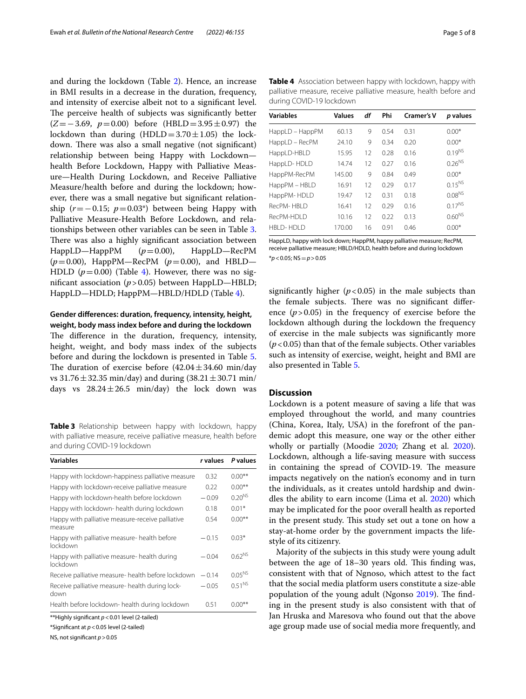and during the lockdown (Table [2\)](#page-3-1). Hence, an increase in BMI results in a decrease in the duration, frequency, and intensity of exercise albeit not to a signifcant level. The perceive health of subjects was significantly better (*Z*=−3.69, *p*=0.00) before (HBLD=3.95±0.97) the lockdown than during  $(HDLD=3.70\pm1.05)$  the lockdown. There was also a small negative (not significant) relationship between being Happy with Lockdown health Before Lockdown, Happy with Palliative Measure—Health During Lockdown, and Receive Palliative Measure/health before and during the lockdown; however, there was a small negative but signifcant relationship  $(r=-0.15; p=0.03*)$  between being Happy with Palliative Measure-Health Before Lockdown, and relationships between other variables can be seen in Table [3](#page-4-0). There was also a highly significant association between HappLD—HappPM (*p*=0.00), HappLD—RecPM (*p*=0.00), HappPM—RecPM (*p*=0.00), and HBLD— HDLD  $(p=0.00)$  (Table [4](#page-4-1)). However, there was no signifcant association (*p*>0.05) between HappLD—HBLD; HappLD—HDLD; HappPM—HBLD/HDLD (Table [4\)](#page-4-1).

## **Gender diferences: duration, frequency, intensity, height, weight, body mass index before and during the lockdown**

The difference in the duration, frequency, intensity, height, weight, and body mass index of the subjects before and during the lockdown is presented in Table [5](#page-5-0). The duration of exercise before  $(42.04 \pm 34.60 \text{ min/day})$ vs  $31.76 \pm 32.35$  min/day) and during  $(38.21 \pm 30.71 \text{ min/}$ days vs  $28.24 \pm 26.5$  min/day) the lock down was

<span id="page-4-0"></span>**Table 3** Relationship between happy with lockdown, happy with palliative measure, receive palliative measure, health before and during COVID-19 lockdown

| <b>Variables</b>                                            | <i>r</i> values | P values    |
|-------------------------------------------------------------|-----------------|-------------|
| Happy with lockdown-happiness palliative measure            | 0.32            | $0.00**$    |
| Happy with lockdown-receive palliative measure              | 0.22            | $0.00**$    |
| Happy with lockdown-health before lockdown                  | $-0.09$         | $0.20^{N5}$ |
| Happy with lockdown- health during lockdown                 | 0.18            | $0.01*$     |
| Happy with palliative measure-receive palliative<br>measure | 0.54            | $0.00**$    |
| Happy with palliative measure- health before<br>lockdown    | $-0.15$         | $0.03*$     |
| Happy with palliative measure- health during<br>lockdown    | $-0.04$         | $0.62^{NS}$ |
| Receive palliative measure- health before lockdown          | $-0.14$         | $0.05^{N5}$ |
| Receive palliative measure- health during lock-<br>down     | $-0.05$         | $0.51^{NS}$ |
| Health before lockdown- health during lockdown              | 0.51            | $0.00**$    |
| $*$ Highly significant $n \times 0.01$ loyal $(2 + 1)$ od)  |                 |             |

\*\*Highly signifcant *p*<0.01 level (2-tailed)

\*Signifcant at *p*<0.05 level (2-tailed)

NS, not signifcant *p*>0.05

<span id="page-4-1"></span>**Table 4** Association between happy with lockdown, happy with palliative measure, receive palliative measure, health before and during COVID-19 lockdown

| <b>Variables</b> | <b>Values</b> | df | Phi  | <b>Cramer's V</b> | p values    |
|------------------|---------------|----|------|-------------------|-------------|
| HappLD - HappPM  | 60.13         | 9  | 0.54 | 0.31              | $0.00*$     |
| HappLD – RecPM   | 24.10         | 9  | 0.34 | 0.20              | $0.00*$     |
| HappLD-HBLD      | 15.95         | 12 | 0.28 | 0.16              | $0.19^{NS}$ |
| HappLD-HDLD      | 14.74         | 12 | 0.27 | 0.16              | $0.26^{NS}$ |
| HappPM-RecPM     | 145.00        | 9  | 0.84 | 0.49              | $0.00*$     |
| HappPM - HBLD    | 16.91         | 12 | 0.29 | 0.17              | $0.15^{NS}$ |
| HappPM-HDLD      | 19.47         | 12 | 0.31 | 0.18              | $0.08^{NS}$ |
| RecPM-HBID       | 16.41         | 12 | 0.29 | 0.16              | $0.17^{NS}$ |
| RecPM-HDI D      | 10.16         | 12 | 0.22 | 0.13              | $0.60^{NS}$ |
| <b>HBLD-HDLD</b> | 170.00        | 16 | 0.91 | 0.46              | $0.00*$     |
|                  |               |    |      |                   |             |

HappLD, happy with lock down; HappPM, happy palliative measure; RecPM, receive palliative measure; HBLD/HDLD, health before and during lockdown \**p*<0.05; NS=*p*>0.05

significantly higher  $(p<0.05)$  in the male subjects than the female subjects. There was no significant difference  $(p > 0.05)$  in the frequency of exercise before the lockdown although during the lockdown the frequency of exercise in the male subjects was signifcantly more  $(p<0.05)$  than that of the female subjects. Other variables such as intensity of exercise, weight, height and BMI are also presented in Table [5](#page-5-0).

## **Discussion**

Lockdown is a potent measure of saving a life that was employed throughout the world, and many countries (China, Korea, Italy, USA) in the forefront of the pandemic adopt this measure, one way or the other either wholly or partially (Moodie [2020;](#page-7-18) Zhang et al. [2020](#page-7-12)). Lockdown, although a life-saving measure with success in containing the spread of COVID-19. The measure impacts negatively on the nation's economy and in turn the individuals, as it creates untold hardship and dwindles the ability to earn income (Lima et al. [2020](#page-7-13)) which may be implicated for the poor overall health as reported in the present study. This study set out a tone on how a stay-at-home order by the government impacts the lifestyle of its citizenry.

Majority of the subjects in this study were young adult between the age of 18–30 years old. This finding was, consistent with that of Ngnoso, which attest to the fact that the social media platform users constitute a size-able population of the young adult (Ngonso [2019](#page-7-14)). The finding in the present study is also consistent with that of Jan Hruska and Maresova who found out that the above age group made use of social media more frequently, and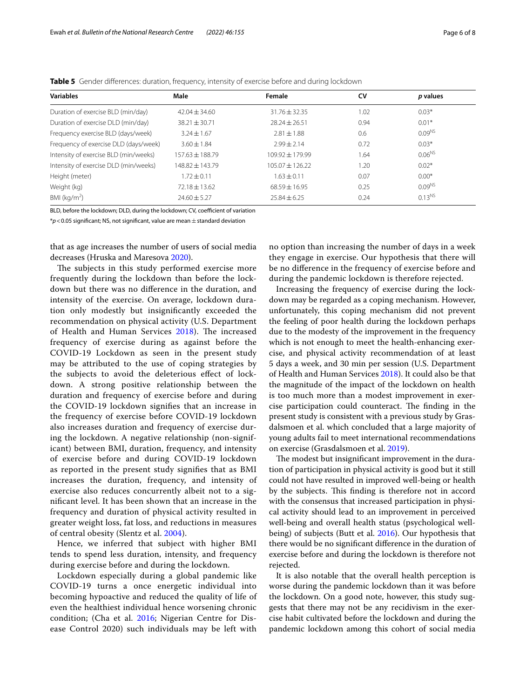| <b>Variables</b>                      | Male              | Female            | CV   | p values           |
|---------------------------------------|-------------------|-------------------|------|--------------------|
| Duration of exercise BLD (min/day)    | $42.04 \pm 34.60$ | $31.76 \pm 32.35$ | 1.02 | $0.03*$            |
| Duration of exercise DLD (min/day)    | $38.21 \pm 30.71$ | $78.24 + 26.51$   | 0.94 | $0.01*$            |
| Frequency exercise BLD (days/week)    | $3.24 \pm 1.67$   | $2.81 \pm 1.88$   | 0.6  | $0.09^{NS}$        |
| Frequency of exercise DLD (days/week) | $3.60 \pm 1.84$   | $7.99 + 7.14$     | 0.72 | $0.03*$            |
| Intensity of exercise BLD (min/weeks) | $157.63 + 188.79$ | $109.92 + 179.99$ | 1.64 | $0.06^{NS}$        |
| Intensity of exercise DLD (min/weeks) | 148.82 + 143.79   | $105.07 + 126.22$ | 1.20 | $0.02*$            |
| Height (meter)                        | $1.72 \pm 0.11$   | $1.63 + 0.11$     | 0.07 | $0.00*$            |
| Weight (kg)                           | $72.18 \pm 13.62$ | $68.59 + 16.95$   | 0.25 | 0.09 <sup>NS</sup> |
| BMI ( $kg/m2$ )                       | $74.60 + 5.27$    | $25.84 \pm 6.25$  | 0.24 | $0.13^{NS}$        |

<span id="page-5-0"></span>**Table 5** Gender diferences: duration, frequency, intensity of exercise before and during lockdown

BLD, before the lockdown; DLD, during the lockdown; CV, coefficient of variation

\**p*<0.05 signifcant; NS, not signifcant, value are mean±standard deviation

that as age increases the number of users of social media decreases (Hruska and Maresova [2020](#page-7-19)).

The subjects in this study performed exercise more frequently during the lockdown than before the lockdown but there was no diference in the duration, and intensity of the exercise. On average, lockdown duration only modestly but insignifcantly exceeded the recommendation on physical activity (U.S. Department of Health and Human Services [2018](#page-7-10)). The increased frequency of exercise during as against before the COVID-19 Lockdown as seen in the present study may be attributed to the use of coping strategies by the subjects to avoid the deleterious efect of lockdown. A strong positive relationship between the duration and frequency of exercise before and during the COVID-19 lockdown signifes that an increase in the frequency of exercise before COVID-19 lockdown also increases duration and frequency of exercise during the lockdown. A negative relationship (non-significant) between BMI, duration, frequency, and intensity of exercise before and during COVID-19 lockdown as reported in the present study signifes that as BMI increases the duration, frequency, and intensity of exercise also reduces concurrently albeit not to a signifcant level. It has been shown that an increase in the frequency and duration of physical activity resulted in greater weight loss, fat loss, and reductions in measures of central obesity (Slentz et al. [2004](#page-7-20)).

Hence, we inferred that subject with higher BMI tends to spend less duration, intensity, and frequency during exercise before and during the lockdown.

Lockdown especially during a global pandemic like COVID-19 turns a once energetic individual into becoming hypoactive and reduced the quality of life of even the healthiest individual hence worsening chronic condition; (Cha et al. [2016](#page-6-1); Nigerian Centre for Disease Control 2020) such individuals may be left with no option than increasing the number of days in a week they engage in exercise. Our hypothesis that there will be no diference in the frequency of exercise before and during the pandemic lockdown is therefore rejected.

Increasing the frequency of exercise during the lockdown may be regarded as a coping mechanism. However, unfortunately, this coping mechanism did not prevent the feeling of poor health during the lockdown perhaps due to the modesty of the improvement in the frequency which is not enough to meet the health-enhancing exercise, and physical activity recommendation of at least 5 days a week, and 30 min per session (U.S. Department of Health and Human Services [2018\)](#page-7-10). It could also be that the magnitude of the impact of the lockdown on health is too much more than a modest improvement in exercise participation could counteract. The finding in the present study is consistent with a previous study by Grasdalsmoen et al. which concluded that a large majority of young adults fail to meet international recommendations on exercise (Grasdalsmoen et al. [2019](#page-7-21)).

The modest but insignificant improvement in the duration of participation in physical activity is good but it still could not have resulted in improved well-being or health by the subjects. This finding is therefore not in accord with the consensus that increased participation in physical activity should lead to an improvement in perceived well-being and overall health status (psychological wellbeing) of subjects (Butt et al. [2016](#page-6-4)). Our hypothesis that there would be no signifcant diference in the duration of exercise before and during the lockdown is therefore not rejected.

It is also notable that the overall health perception is worse during the pandemic lockdown than it was before the lockdown. On a good note, however, this study suggests that there may not be any recidivism in the exercise habit cultivated before the lockdown and during the pandemic lockdown among this cohort of social media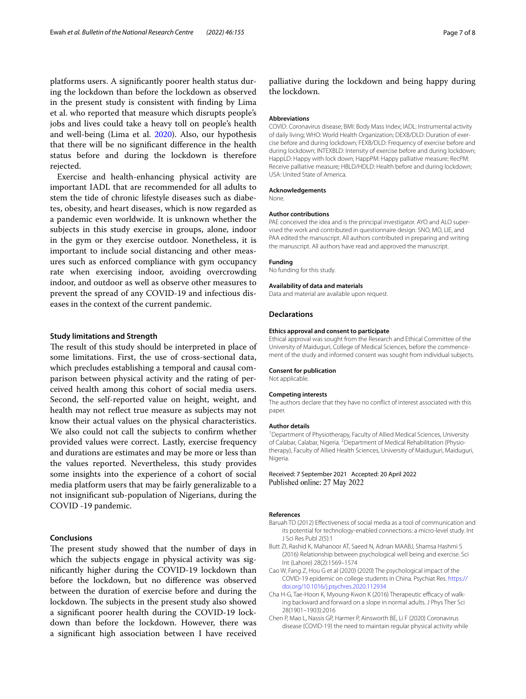platforms users. A signifcantly poorer health status during the lockdown than before the lockdown as observed in the present study is consistent with fnding by Lima et al. who reported that measure which disrupts people's jobs and lives could take a heavy toll on people's health and well-being (Lima et al. [2020\)](#page-7-13). Also, our hypothesis that there will be no signifcant diference in the health status before and during the lockdown is therefore rejected.

Exercise and health-enhancing physical activity are important IADL that are recommended for all adults to stem the tide of chronic lifestyle diseases such as diabetes, obesity, and heart diseases, which is now regarded as a pandemic even worldwide. It is unknown whether the subjects in this study exercise in groups, alone, indoor in the gym or they exercise outdoor. Nonetheless, it is important to include social distancing and other measures such as enforced compliance with gym occupancy rate when exercising indoor, avoiding overcrowding indoor, and outdoor as well as observe other measures to prevent the spread of any COVID-19 and infectious diseases in the context of the current pandemic.

#### **Study limitations and Strength**

The result of this study should be interpreted in place of some limitations. First, the use of cross-sectional data, which precludes establishing a temporal and causal comparison between physical activity and the rating of perceived health among this cohort of social media users. Second, the self-reported value on height, weight, and health may not refect true measure as subjects may not know their actual values on the physical characteristics. We also could not call the subjects to confrm whether provided values were correct. Lastly, exercise frequency and durations are estimates and may be more or less than the values reported. Nevertheless, this study provides some insights into the experience of a cohort of social media platform users that may be fairly generalizable to a not insignifcant sub-population of Nigerians, during the COVID -19 pandemic.

### **Conclusions**

The present study showed that the number of days in which the subjects engage in physical activity was signifcantly higher during the COVID-19 lockdown than before the lockdown, but no diference was observed between the duration of exercise before and during the lockdown. The subjects in the present study also showed a signifcant poorer health during the COVID-19 lockdown than before the lockdown. However, there was a signifcant high association between I have received

palliative during the lockdown and being happy during the lockdown.

#### **Abbreviations**

COVID: Coronavirus disease; BMI: Body Mass Index; IADL: Instrumental activity of daily living; WHO: World Health Organization; DEXB/DLD: Duration of exercise before and during lockdown; FEXB/DLD: Frequency of exercise before and during lockdown; INTEXBLD: Intensity of exercise before and during lockdown; HappLD: Happy with lock down; HappPM: Happy palliative measure; RecPM: Receive palliative measure; HBLD/HDLD: Health before and during lockdown; USA: United State of America.

#### **Acknowledgements**

None.

#### **Author contributions**

PAE conceived the idea and is the principal investigator. AYO and ALO supervised the work and contributed in questionnaire design. SNO, MO, LIE, and PAA edited the manuscript. All authors contributed in preparing and writing the manuscript. All authors have read and approved the manuscript.

#### **Funding**

No funding for this study.

#### **Availability of data and materials**

Data and material are available upon request.

#### **Declarations**

#### **Ethics approval and consent to participate**

Ethical approval was sought from the Research and Ethical Committee of the University of Maiduguri, College of Medical Sciences, before the commencement of the study and informed consent was sought from individual subjects.

#### **Consent for publication**

Not applicable.

#### **Competing interests**

The authors declare that they have no confict of interest associated with this paper.

#### **Author details**

<sup>1</sup> Department of Physiotherapy, Faculty of Allied Medical Sciences, University of Calabar, Calabar, Nigeria. <sup>2</sup> Department of Medical Rehabilitation (Physiotherapy), Faculty of Allied Health Sciences, University of Maiduguri, Maiduguri, Nigeria.

Received: 7 September 2021 Accepted: 20 April 2022 Published online: 27 May 2022

#### **References**

- <span id="page-6-3"></span>Baruah TD (2012) Efectiveness of social media as a tool of communication and its potential for technology-enabled connections: a micro-level study. Int J Sci Res Publ 2(5):1
- <span id="page-6-4"></span>Butt ZI, Rashid K, Mahanoor AT, Saeed N, Adnan MAABJ, Shamsa Hashmi S (2016) Relationship between psychological well being and exercise. Sci Int (Lahore) 28(2):1569–1574
- <span id="page-6-2"></span>Cao W, Fang Z, Hou G et al (2020) (2020) The psychological impact of the COVID-19 epidemic on college students in China. Psychiat Res. [https://](https://doi.org/10.1016/j.psychres.2020.112934) [doi.org/10.1016/j.psychres.2020.112934](https://doi.org/10.1016/j.psychres.2020.112934)
- <span id="page-6-1"></span>Cha H-G, Tae-Hoon K, Myoung-Kwon K (2016) Therapeutic efficacy of walking backward and forward on a slope in normal adults. J Phys Ther Sci 28(1901–1903):2016
- <span id="page-6-0"></span>Chen P, Mao L, Nassis GP, Harmer P, Ainsworth BE, Li F (2020) Coronavirus disease (COVID-19) the need to maintain regular physical activity while